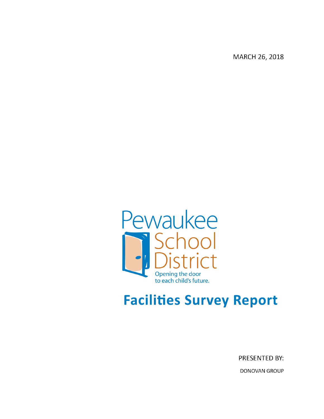MARCH 26, 2018



# **Facilities Survey Report**

PRESENTED BY: **DONOVAN GROUP**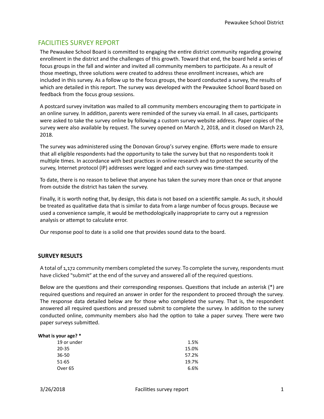## FACILITIES SURVEY REPORT

The Pewaukee School Board is committed to engaging the entire district community regarding growing enrollment in the district and the challenges of this growth. Toward that end, the board held a series of focus groups in the fall and winter and invited all community members to participate. As a result of those meetings, three solutions were created to address these enrollment increases, which are included in this survey. As a follow up to the focus groups, the board conducted a survey, the results of which are detailed in this report. The survey was developed with the Pewaukee School Board based on feedback from the focus group sessions.

A postcard survey invitation was mailed to all community members encouraging them to participate in an online survey. In addition, parents were reminded of the survey via email. In all cases, participants were asked to take the survey online by following a custom survey website address. Paper copies of the survey were also available by request. The survey opened on March 2, 2018, and it closed on March 23, 2018.

The survey was administered using the Donovan Group's survey engine. Efforts were made to ensure that all eligible respondents had the opportunity to take the survey but that no respondents took it multiple times. In accordance with best practices in online research and to protect the security of the survey, Internet protocol (IP) addresses were logged and each survey was time-stamped.

To date, there is no reason to believe that anyone has taken the survey more than once or that anyone from outside the district has taken the survey.

Finally, it is worth noting that, by design, this data is not based on a scientific sample. As such, it should be treated as qualitative data that is similar to data from a large number of focus groups. Because we used a convenience sample, it would be methodologically inappropriate to carry out a regression analysis or attempt to calculate error.

Our response pool to date is a solid one that provides sound data to the board.

#### **SURVEY RESULTS**

A total of 1,172 community members completed the survey. To complete the survey, respondents must have clicked "submit" at the end of the survey and answered all of the required questions.

Below are the questions and their corresponding responses. Questions that include an asterisk (\*) are required questions and required an answer in order for the respondent to proceed through the survey. The response data detailed below are for those who completed the survey. That is, the respondent answered all required questions and pressed submit to complete the survey. In addition to the survey conducted online, community members also had the option to take a paper survey. There were two paper surveys submitted.

| What is your age? * |       |
|---------------------|-------|
| 19 or under         | 1.5%  |
| 20-35               | 15.0% |
| 36-50               | 57.2% |
| 51-65               | 19.7% |
| Over 65             | 6.6%  |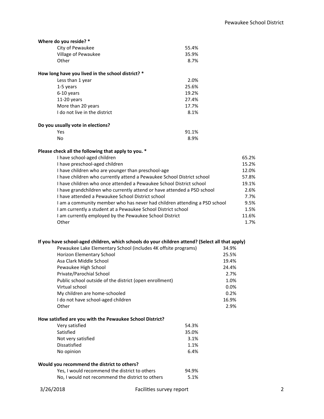| Where do you reside? *                            |       |
|---------------------------------------------------|-------|
| City of Pewaukee                                  | 55.4% |
| Village of Pewaukee                               | 35.9% |
| Other                                             | 8.7%  |
| How long have you lived in the school district? * |       |
| Less than 1 year                                  | 2.0%  |
| 1-5 years                                         | 25.6% |
| 6-10 years                                        | 19.2% |
| $11-20$ years                                     | 27.4% |
| More than 20 years                                | 17.7% |
| I do not live in the district                     | 8.1%  |
| Do you usually vote in elections?                 |       |
| Yes                                               | 91.1% |
| No                                                | 8.9%  |

## **Please check all the following that apply to you. \***

| 65.2% |
|-------|
| 15.2% |
| 12.0% |
| 57.8% |
| 19.1% |
| 2.6%  |
| 7.7%  |
| 9.5%  |
| 1.5%  |
| 11.6% |
| 1.7%  |
|       |

### **If you have school-aged children, which schools do your children attend? (Select all that apply)**

|                                                          | Pewaukee Lake Elementary School (includes 4K offsite programs) |       | 34.9% |   |
|----------------------------------------------------------|----------------------------------------------------------------|-------|-------|---|
| Horizon Elementary School                                |                                                                |       | 25.5% |   |
| Asa Clark Middle School                                  |                                                                |       | 19.4% |   |
| Pewaukee High School                                     |                                                                |       | 24.4% |   |
| Private/Parochial School                                 |                                                                |       | 2.7%  |   |
|                                                          | Public school outside of the district (open enrollment)        |       | 1.0%  |   |
| Virtual school                                           |                                                                |       | 0.0%  |   |
| My children are home-schooled                            |                                                                |       | 0.2%  |   |
| I do not have school-aged children                       |                                                                |       | 16.9% |   |
| Other                                                    |                                                                |       | 2.9%  |   |
| How satisfied are you with the Pewaukee School District? |                                                                |       |       |   |
| Very satisfied                                           |                                                                | 54.3% |       |   |
| Satisfied                                                |                                                                | 35.0% |       |   |
| Not very satisfied                                       |                                                                | 3.1%  |       |   |
| <b>Dissatisfied</b>                                      |                                                                | 1.1%  |       |   |
| No opinion                                               |                                                                | 6.4%  |       |   |
| Would you recommend the district to others?              |                                                                |       |       |   |
|                                                          | Yes, I would recommend the district to others                  | 94.9% |       |   |
|                                                          | No, I would not recommend the district to others               | 5.1%  |       |   |
| 3/26/2018                                                | Facilities survey report                                       |       |       | 2 |
|                                                          |                                                                |       |       |   |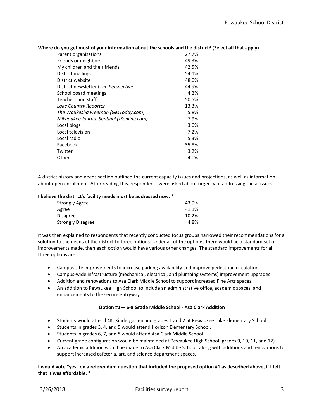|  | Where do you get most of your information about the schools and the district? (Select all that apply) |
|--|-------------------------------------------------------------------------------------------------------|
|  |                                                                                                       |

| Parent organizations                      | 27.7% |
|-------------------------------------------|-------|
| Friends or neighbors                      | 49.3% |
| My children and their friends             | 42.5% |
| District mailings                         | 54.1% |
| District website                          | 48.0% |
| District newsletter (The Perspective)     | 44.9% |
| School board meetings                     | 4.2%  |
| Teachers and staff                        | 50.5% |
| Lake Country Reporter                     | 13.3% |
| The Waukesha Freeman (GMToday.com)        | 5.8%  |
| Milwaukee Journal Sentinel (JSonline.com) | 7.9%  |
| Local blogs                               | 3.0%  |
| Local television                          | 7.2%  |
| Local radio                               | 5.3%  |
| Facebook                                  | 35.8% |
| Twitter                                   | 3.2%  |
| Other                                     | 4.0%  |

A district history and needs section outlined the current capacity issues and projections, as well as information about open enrollment. After reading this, respondents were asked about urgency of addressing these issues.

#### **I believe the district's facility needs must be addressed now. \***

| 43.9% |
|-------|
| 41.1% |
| 10.2% |
| 4.8%  |
|       |

It was then explained to respondents that recently conducted focus groups narrowed their recommendations for a solution to the needs of the district to three options. Under all of the options, there would be a standard set of improvements made, then each option would have various other changes. The standard improvements for all three options are:

- Campus site improvements to increase parking availability and improve pedestrian circulation
- Campus-wide infrastructure (mechanical, electrical, and plumbing systems) improvement upgrades
- Addition and renovations to Asa Clark Middle School to support increased Fine Arts spaces
- An addition to Pewaukee High School to include an administrative office, academic spaces, and enhancements to the secure entryway

#### **Option #1— 6-8 Grade Middle School - Asa Clark Addition**

- Students would attend 4K, Kindergarten and grades 1 and 2 at Pewaukee Lake Elementary School.
- Students in grades 3, 4, and 5 would attend Horizon Elementary School.
- Students in grades 6, 7, and 8 would attend Asa Clark Middle School.
- Current grade configuration would be maintained at Pewaukee High School (grades 9, 10, 11, and 12).
- An academic addition would be made to Asa Clark Middle School, along with additions and renovations to support increased cafeteria, art, and science department spaces.

#### **I would vote "yes" on a referendum question that included the proposed option #1 as described above, if I felt that it was affordable. \***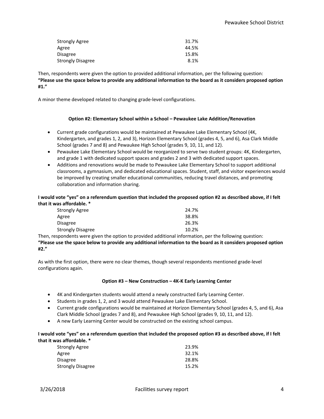| Strongly Agree    | 31.7% |
|-------------------|-------|
| Agree             | 44.5% |
| Disagree          | 15.8% |
| Strongly Disagree | 8.1%  |

Then, respondents were given the option to provided additional information, per the following question: **"Please use the space below to provide any additional information to the board as it considers proposed option #1."**

A minor theme developed related to changing grade-level configurations.

#### **Option #2: Elementary School within a School – Pewaukee Lake Addition/Renovation**

- Current grade configurations would be maintained at Pewaukee Lake Elementary School (4K, Kindergarten, and grades 1, 2, and 3), Horizon Elementary School (grades 4, 5, and 6), Asa Clark Middle School (grades 7 and 8) and Pewaukee High School (grades 9, 10, 11, and 12).
- Pewaukee Lake Elementary School would be reorganized to serve two student groups: 4K, Kindergarten, and grade 1 with dedicated support spaces and grades 2 and 3 with dedicated support spaces.
- Additions and renovations would be made to Pewaukee Lake Elementary School to support additional classrooms, a gymnasium, and dedicated educational spaces. Student, staff, and visitor experiences would be improved by creating smaller educational communities, reducing travel distances, and promoting collaboration and information sharing.

#### **I would vote "yes" on a referendum question that included the proposed option #2 as described above, if I felt that it was affordable. \***

| <b>Strongly Agree</b>    | 24.7% |
|--------------------------|-------|
| Agree                    | 38.8% |
| <b>Disagree</b>          | 26.3% |
| <b>Strongly Disagree</b> | 10.2% |

Then, respondents were given the option to provided additional information, per the following question:

**"Please use the space below to provide any additional information to the board as it considers proposed option #2."**

As with the first option, there were no clear themes, though several respondents mentioned grade-level configurations again.

#### **Option #3 – New Construction – 4K-K Early Learning Center**

- 4K and Kindergarten students would attend a newly constructed Early Learning Center.
- Students in grades 1, 2, and 3 would attend Pewaukee Lake Elementary School.
- Current grade configurations would be maintained at Horizon Elementary School (grades 4, 5, and 6), Asa Clark Middle School (grades 7 and 8), and Pewaukee High School (grades 9, 10, 11, and 12).
- A new Early Learning Center would be constructed on the existing school campus.

**I would vote "yes" on a referendum question that included the proposed option #3 as described above, if I felt that it was affordable. \***

| 23.9% |
|-------|
| 32.1% |
| 28.8% |
| 15.2% |
|       |